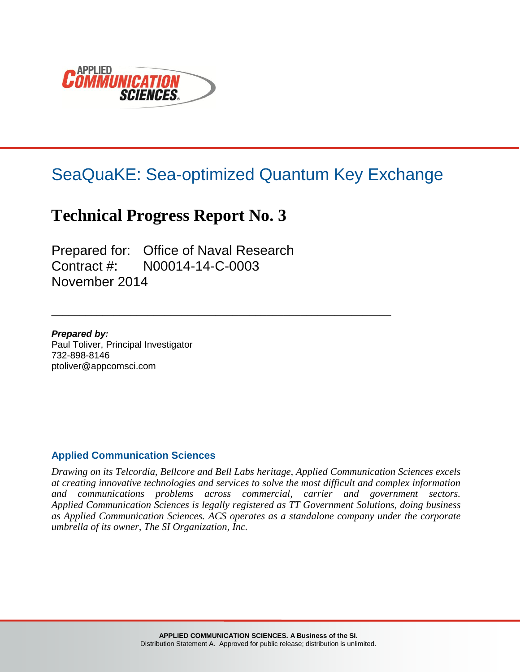

# SeaQuaKE: Sea-optimized Quantum Key Exchange

\_\_\_\_\_\_\_\_\_\_\_\_\_\_\_\_\_\_\_\_\_\_\_\_\_\_\_\_\_\_\_\_\_\_\_\_\_\_\_\_\_\_\_\_\_\_\_\_\_\_\_\_\_\_\_\_\_\_\_\_

## **Technical Progress Report No. 3**

Prepared for: Office of Naval Research Contract #: N00014-14-C-0003 November 2014

*Prepared by:* Paul Toliver, Principal Investigator 732-898-8146 ptoliver@appcomsci.com

#### **Applied Communication Sciences**

*Drawing on its Telcordia, Bellcore and Bell Labs heritage, Applied Communication Sciences excels at creating innovative technologies and services to solve the most difficult and complex information and communications problems across commercial, carrier and government sectors. Applied Communication Sciences is legally registered as TT Government Solutions, doing business as Applied Communication Sciences. ACS operates as a standalone company under the corporate umbrella of its owner, The SI Organization, Inc.*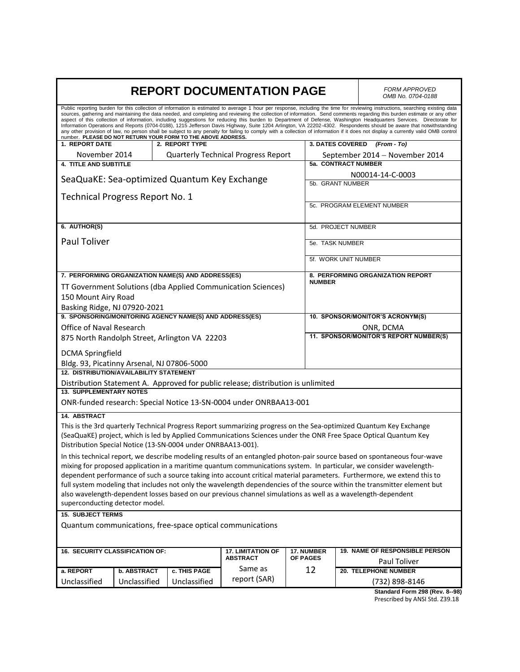| <b>REPORT DOCUMENTATION PAGE</b>                                                                                                                                                 |                    |                                                              |                                                                                                              | <b>FORM APPROVED</b><br>OMB No. 0704-0188 |                         |                                                                                                                                                                                                                                                                                                                                                                                                                                                                                                                                                                                                                                                                                                                                                                                                                                                                                                 |
|----------------------------------------------------------------------------------------------------------------------------------------------------------------------------------|--------------------|--------------------------------------------------------------|--------------------------------------------------------------------------------------------------------------|-------------------------------------------|-------------------------|-------------------------------------------------------------------------------------------------------------------------------------------------------------------------------------------------------------------------------------------------------------------------------------------------------------------------------------------------------------------------------------------------------------------------------------------------------------------------------------------------------------------------------------------------------------------------------------------------------------------------------------------------------------------------------------------------------------------------------------------------------------------------------------------------------------------------------------------------------------------------------------------------|
|                                                                                                                                                                                  |                    | number. PLEASE DO NOT RETURN YOUR FORM TO THE ABOVE ADDRESS. |                                                                                                              |                                           |                         | Public reporting burden for this collection of information is estimated to average 1 hour per response, including the time for reviewing instructions, searching existing data<br>sources, gathering and maintaining the data needed, and completing and reviewing the collection of information. Send comments regarding this burden estimate or any other<br>aspect of this collection of information, including suggestions for reducing this burden to Department of Defense, Washington Headquarters Services. Directorate for<br>Information Operations and Reports (0704-0188), 1215 Jefferson Davis Highway, Suite 1204 Arlington, VA 22202-4302. Respondents should be aware that notwithstanding<br>any other provision of law, no person shall be subject to any penalty for failing to comply with a collection of information if it does not display a currently valid OMB control |
| 1. REPORT DATE                                                                                                                                                                   |                    | 2. REPORT TYPE                                               |                                                                                                              |                                           | <b>3. DATES COVERED</b> | (From - To)                                                                                                                                                                                                                                                                                                                                                                                                                                                                                                                                                                                                                                                                                                                                                                                                                                                                                     |
| November 2014                                                                                                                                                                    |                    |                                                              | <b>Quarterly Technical Progress Report</b>                                                                   |                                           |                         | September 2014 - November 2014                                                                                                                                                                                                                                                                                                                                                                                                                                                                                                                                                                                                                                                                                                                                                                                                                                                                  |
| <b>4. TITLE AND SUBTITLE</b>                                                                                                                                                     |                    |                                                              |                                                                                                              |                                           | 5a. CONTRACT NUMBER     |                                                                                                                                                                                                                                                                                                                                                                                                                                                                                                                                                                                                                                                                                                                                                                                                                                                                                                 |
|                                                                                                                                                                                  |                    | SeaQuaKE: Sea-optimized Quantum Key Exchange                 |                                                                                                              |                                           |                         | N00014-14-C-0003                                                                                                                                                                                                                                                                                                                                                                                                                                                                                                                                                                                                                                                                                                                                                                                                                                                                                |
|                                                                                                                                                                                  |                    |                                                              |                                                                                                              |                                           | 5b. GRANT NUMBER        |                                                                                                                                                                                                                                                                                                                                                                                                                                                                                                                                                                                                                                                                                                                                                                                                                                                                                                 |
| Technical Progress Report No. 1                                                                                                                                                  |                    |                                                              |                                                                                                              |                                           |                         | 5c. PROGRAM ELEMENT NUMBER                                                                                                                                                                                                                                                                                                                                                                                                                                                                                                                                                                                                                                                                                                                                                                                                                                                                      |
|                                                                                                                                                                                  |                    |                                                              |                                                                                                              |                                           |                         |                                                                                                                                                                                                                                                                                                                                                                                                                                                                                                                                                                                                                                                                                                                                                                                                                                                                                                 |
| 6. AUTHOR(S)                                                                                                                                                                     |                    |                                                              |                                                                                                              |                                           | 5d. PROJECT NUMBER      |                                                                                                                                                                                                                                                                                                                                                                                                                                                                                                                                                                                                                                                                                                                                                                                                                                                                                                 |
|                                                                                                                                                                                  |                    |                                                              |                                                                                                              |                                           |                         |                                                                                                                                                                                                                                                                                                                                                                                                                                                                                                                                                                                                                                                                                                                                                                                                                                                                                                 |
| <b>Paul Toliver</b>                                                                                                                                                              |                    |                                                              |                                                                                                              |                                           | 5e. TASK NUMBER         |                                                                                                                                                                                                                                                                                                                                                                                                                                                                                                                                                                                                                                                                                                                                                                                                                                                                                                 |
|                                                                                                                                                                                  |                    |                                                              |                                                                                                              |                                           | 5f. WORK UNIT NUMBER    |                                                                                                                                                                                                                                                                                                                                                                                                                                                                                                                                                                                                                                                                                                                                                                                                                                                                                                 |
|                                                                                                                                                                                  |                    |                                                              |                                                                                                              |                                           |                         |                                                                                                                                                                                                                                                                                                                                                                                                                                                                                                                                                                                                                                                                                                                                                                                                                                                                                                 |
| 7. PERFORMING ORGANIZATION NAME(S) AND ADDRESS(ES)                                                                                                                               |                    |                                                              |                                                                                                              |                                           |                         | 8. PERFORMING ORGANIZATION REPORT                                                                                                                                                                                                                                                                                                                                                                                                                                                                                                                                                                                                                                                                                                                                                                                                                                                               |
|                                                                                                                                                                                  |                    |                                                              | TT Government Solutions (dba Applied Communication Sciences)                                                 | <b>NUMBER</b>                             |                         |                                                                                                                                                                                                                                                                                                                                                                                                                                                                                                                                                                                                                                                                                                                                                                                                                                                                                                 |
| 150 Mount Airy Road                                                                                                                                                              |                    |                                                              |                                                                                                              |                                           |                         |                                                                                                                                                                                                                                                                                                                                                                                                                                                                                                                                                                                                                                                                                                                                                                                                                                                                                                 |
| Basking Ridge, NJ 07920-2021                                                                                                                                                     |                    |                                                              |                                                                                                              |                                           |                         |                                                                                                                                                                                                                                                                                                                                                                                                                                                                                                                                                                                                                                                                                                                                                                                                                                                                                                 |
|                                                                                                                                                                                  |                    | 9. SPONSORING/MONITORING AGENCY NAME(S) AND ADDRESS(ES)      |                                                                                                              |                                           |                         | 10. SPONSOR/MONITOR'S ACRONYM(S)                                                                                                                                                                                                                                                                                                                                                                                                                                                                                                                                                                                                                                                                                                                                                                                                                                                                |
| Office of Naval Research                                                                                                                                                         |                    |                                                              |                                                                                                              |                                           |                         | ONR, DCMA                                                                                                                                                                                                                                                                                                                                                                                                                                                                                                                                                                                                                                                                                                                                                                                                                                                                                       |
|                                                                                                                                                                                  |                    | 875 North Randolph Street, Arlington VA 22203                |                                                                                                              |                                           |                         | 11. SPONSOR/MONITOR'S REPORT NUMBER(S)                                                                                                                                                                                                                                                                                                                                                                                                                                                                                                                                                                                                                                                                                                                                                                                                                                                          |
| <b>DCMA Springfield</b>                                                                                                                                                          |                    |                                                              |                                                                                                              |                                           |                         |                                                                                                                                                                                                                                                                                                                                                                                                                                                                                                                                                                                                                                                                                                                                                                                                                                                                                                 |
|                                                                                                                                                                                  |                    |                                                              |                                                                                                              |                                           |                         |                                                                                                                                                                                                                                                                                                                                                                                                                                                                                                                                                                                                                                                                                                                                                                                                                                                                                                 |
| Bldg. 93, Picatinny Arsenal, NJ 07806-5000<br><b>12. DISTRIBUTION/AVAILABILITY STATEMENT</b>                                                                                     |                    |                                                              |                                                                                                              |                                           |                         |                                                                                                                                                                                                                                                                                                                                                                                                                                                                                                                                                                                                                                                                                                                                                                                                                                                                                                 |
|                                                                                                                                                                                  |                    |                                                              | Distribution Statement A. Approved for public release; distribution is unlimited                             |                                           |                         |                                                                                                                                                                                                                                                                                                                                                                                                                                                                                                                                                                                                                                                                                                                                                                                                                                                                                                 |
| <b>13. SUPPLEMENTARY NOTES</b>                                                                                                                                                   |                    |                                                              |                                                                                                              |                                           |                         |                                                                                                                                                                                                                                                                                                                                                                                                                                                                                                                                                                                                                                                                                                                                                                                                                                                                                                 |
|                                                                                                                                                                                  |                    |                                                              | ONR-funded research: Special Notice 13-SN-0004 under ONRBAA13-001                                            |                                           |                         |                                                                                                                                                                                                                                                                                                                                                                                                                                                                                                                                                                                                                                                                                                                                                                                                                                                                                                 |
| <b>14. ABSTRACT</b>                                                                                                                                                              |                    |                                                              |                                                                                                              |                                           |                         |                                                                                                                                                                                                                                                                                                                                                                                                                                                                                                                                                                                                                                                                                                                                                                                                                                                                                                 |
|                                                                                                                                                                                  |                    |                                                              |                                                                                                              |                                           |                         | This is the 3rd quarterly Technical Progress Report summarizing progress on the Sea-optimized Quantum Key Exchange                                                                                                                                                                                                                                                                                                                                                                                                                                                                                                                                                                                                                                                                                                                                                                              |
|                                                                                                                                                                                  |                    |                                                              |                                                                                                              |                                           |                         |                                                                                                                                                                                                                                                                                                                                                                                                                                                                                                                                                                                                                                                                                                                                                                                                                                                                                                 |
| (SeaQuaKE) project, which is led by Applied Communications Sciences under the ONR Free Space Optical Quantum Key<br>Distribution Special Notice (13-SN-0004 under ONRBAA13-001). |                    |                                                              |                                                                                                              |                                           |                         |                                                                                                                                                                                                                                                                                                                                                                                                                                                                                                                                                                                                                                                                                                                                                                                                                                                                                                 |
| In this technical report, we describe modeling results of an entangled photon-pair source based on spontaneous four-wave                                                         |                    |                                                              |                                                                                                              |                                           |                         |                                                                                                                                                                                                                                                                                                                                                                                                                                                                                                                                                                                                                                                                                                                                                                                                                                                                                                 |
| mixing for proposed application in a maritime quantum communications system. In particular, we consider wavelength-                                                              |                    |                                                              |                                                                                                              |                                           |                         |                                                                                                                                                                                                                                                                                                                                                                                                                                                                                                                                                                                                                                                                                                                                                                                                                                                                                                 |
|                                                                                                                                                                                  |                    |                                                              |                                                                                                              |                                           |                         | dependent performance of such a source taking into account critical material parameters. Furthermore, we extend this to                                                                                                                                                                                                                                                                                                                                                                                                                                                                                                                                                                                                                                                                                                                                                                         |
|                                                                                                                                                                                  |                    |                                                              |                                                                                                              |                                           |                         | full system modeling that includes not only the wavelength dependencies of the source within the transmitter element but                                                                                                                                                                                                                                                                                                                                                                                                                                                                                                                                                                                                                                                                                                                                                                        |
|                                                                                                                                                                                  |                    |                                                              | also wavelength-dependent losses based on our previous channel simulations as well as a wavelength-dependent |                                           |                         |                                                                                                                                                                                                                                                                                                                                                                                                                                                                                                                                                                                                                                                                                                                                                                                                                                                                                                 |
| superconducting detector model.                                                                                                                                                  |                    |                                                              |                                                                                                              |                                           |                         |                                                                                                                                                                                                                                                                                                                                                                                                                                                                                                                                                                                                                                                                                                                                                                                                                                                                                                 |
| <b>15. SUBJECT TERMS</b>                                                                                                                                                         |                    |                                                              |                                                                                                              |                                           |                         |                                                                                                                                                                                                                                                                                                                                                                                                                                                                                                                                                                                                                                                                                                                                                                                                                                                                                                 |
|                                                                                                                                                                                  |                    |                                                              | Quantum communications, free-space optical communications                                                    |                                           |                         |                                                                                                                                                                                                                                                                                                                                                                                                                                                                                                                                                                                                                                                                                                                                                                                                                                                                                                 |
| 16. SECURITY CLASSIFICATION OF:                                                                                                                                                  |                    |                                                              | <b>17. LIMITATION OF</b>                                                                                     | 17. NUMBER                                |                         | <b>19. NAME OF RESPONSIBLE PERSON</b>                                                                                                                                                                                                                                                                                                                                                                                                                                                                                                                                                                                                                                                                                                                                                                                                                                                           |
|                                                                                                                                                                                  |                    |                                                              | <b>ABSTRACT</b>                                                                                              | OF PAGES                                  |                         | Paul Toliver                                                                                                                                                                                                                                                                                                                                                                                                                                                                                                                                                                                                                                                                                                                                                                                                                                                                                    |
| a. REPORT                                                                                                                                                                        | <b>b. ABSTRACT</b> | c. THIS PAGE                                                 | Same as                                                                                                      | 12                                        |                         | 20. TELEPHONE NUMBER                                                                                                                                                                                                                                                                                                                                                                                                                                                                                                                                                                                                                                                                                                                                                                                                                                                                            |
| Unclassified                                                                                                                                                                     | Unclassified       | Unclassified                                                 | report (SAR)                                                                                                 |                                           |                         | (732) 898-8146                                                                                                                                                                                                                                                                                                                                                                                                                                                                                                                                                                                                                                                                                                                                                                                                                                                                                  |
|                                                                                                                                                                                  |                    |                                                              |                                                                                                              |                                           |                         | Standard Form 298 (Rev. 8--98)                                                                                                                                                                                                                                                                                                                                                                                                                                                                                                                                                                                                                                                                                                                                                                                                                                                                  |
|                                                                                                                                                                                  |                    |                                                              |                                                                                                              |                                           |                         | Prescribed by ANSI Std. Z39.18                                                                                                                                                                                                                                                                                                                                                                                                                                                                                                                                                                                                                                                                                                                                                                                                                                                                  |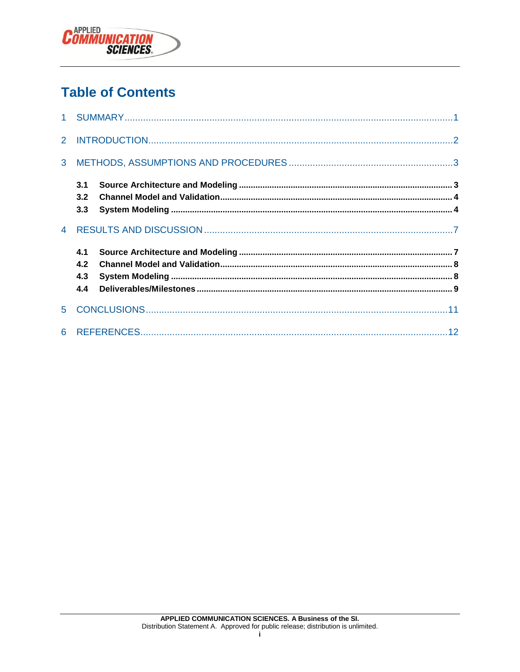

## **Table of Contents**

| 3 <sup>1</sup> |                          |  |
|----------------|--------------------------|--|
|                | 3.1<br>3.2<br>3.3        |  |
| $\overline{4}$ |                          |  |
|                | 4.1<br>4.2<br>4.3<br>4.4 |  |
| 5.             |                          |  |
|                |                          |  |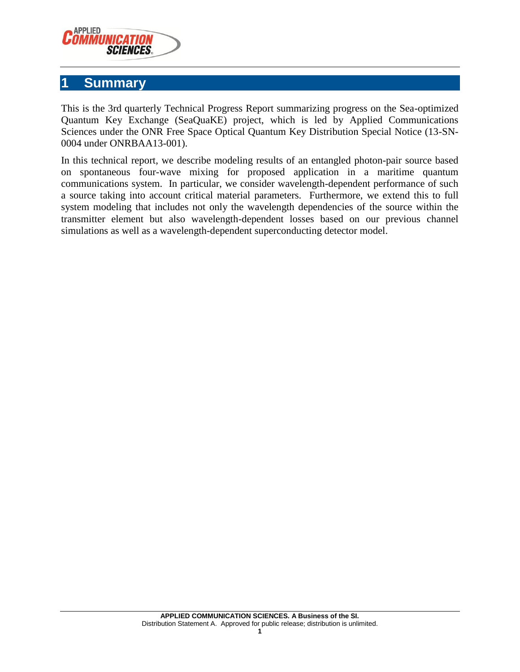

#### <span id="page-3-0"></span>**1 Summary**

This is the 3rd quarterly Technical Progress Report summarizing progress on the Sea-optimized Quantum Key Exchange (SeaQuaKE) project, which is led by Applied Communications Sciences under the ONR Free Space Optical Quantum Key Distribution Special Notice (13-SN-0004 under ONRBAA13-001).

In this technical report, we describe modeling results of an entangled photon-pair source based on spontaneous four-wave mixing for proposed application in a maritime quantum communications system. In particular, we consider wavelength-dependent performance of such a source taking into account critical material parameters. Furthermore, we extend this to full system modeling that includes not only the wavelength dependencies of the source within the transmitter element but also wavelength-dependent losses based on our previous channel simulations as well as a wavelength-dependent superconducting detector model.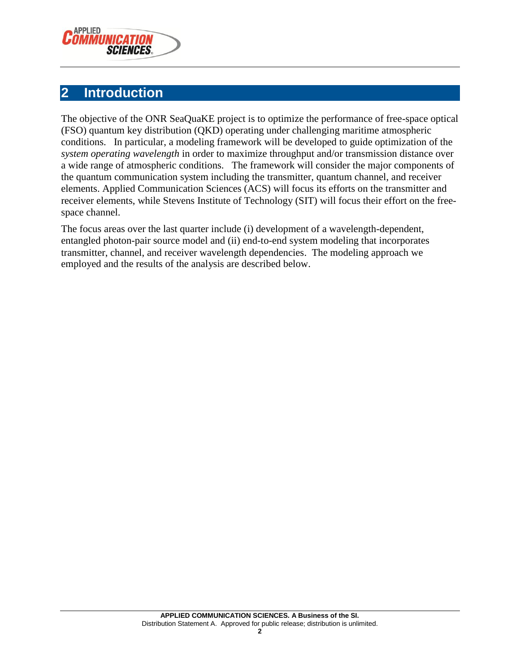

#### <span id="page-4-0"></span>**2 Introduction**

The objective of the ONR SeaQuaKE project is to optimize the performance of free-space optical (FSO) quantum key distribution (QKD) operating under challenging maritime atmospheric conditions. In particular, a modeling framework will be developed to guide optimization of the *system operating wavelength* in order to maximize throughput and/or transmission distance over a wide range of atmospheric conditions. The framework will consider the major components of the quantum communication system including the transmitter, quantum channel, and receiver elements. Applied Communication Sciences (ACS) will focus its efforts on the transmitter and receiver elements, while Stevens Institute of Technology (SIT) will focus their effort on the freespace channel.

The focus areas over the last quarter include (i) development of a wavelength-dependent, entangled photon-pair source model and (ii) end-to-end system modeling that incorporates transmitter, channel, and receiver wavelength dependencies. The modeling approach we employed and the results of the analysis are described below.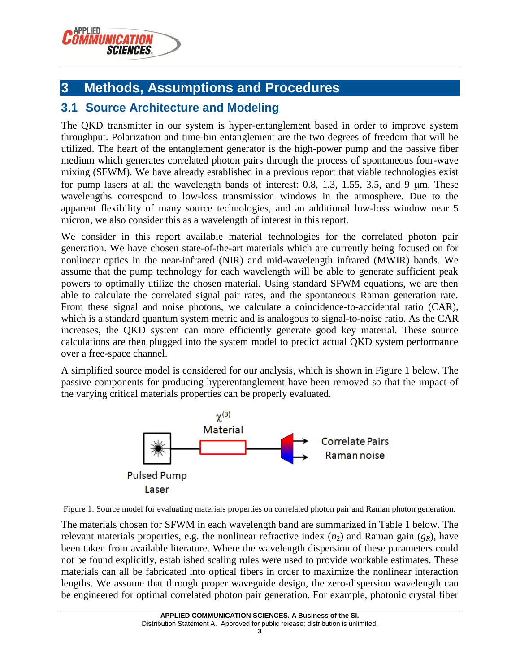

## <span id="page-5-0"></span>**3 Methods, Assumptions and Procedures**

#### <span id="page-5-1"></span>**3.1 Source Architecture and Modeling**

The QKD transmitter in our system is hyper-entanglement based in order to improve system throughput. Polarization and time-bin entanglement are the two degrees of freedom that will be utilized. The heart of the entanglement generator is the high-power pump and the passive fiber medium which generates correlated photon pairs through the process of spontaneous four-wave mixing (SFWM). We have already established in a previous report that viable technologies exist for pump lasers at all the wavelength bands of interest: 0.8, 1.3, 1.55, 3.5, and 9  $\mu$ m. These wavelengths correspond to low-loss transmission windows in the atmosphere. Due to the apparent flexibility of many source technologies, and an additional low-loss window near 5 micron, we also consider this as a wavelength of interest in this report.

We consider in this report available material technologies for the correlated photon pair generation. We have chosen state-of-the-art materials which are currently being focused on for nonlinear optics in the near-infrared (NIR) and mid-wavelength infrared (MWIR) bands. We assume that the pump technology for each wavelength will be able to generate sufficient peak powers to optimally utilize the chosen material. Using standard SFWM equations, we are then able to calculate the correlated signal pair rates, and the spontaneous Raman generation rate. From these signal and noise photons, we calculate a coincidence-to-accidental ratio (CAR), which is a standard quantum system metric and is analogous to signal-to-noise ratio. As the CAR increases, the QKD system can more efficiently generate good key material. These source calculations are then plugged into the system model to predict actual QKD system performance over a free-space channel.

A simplified source model is considered for our analysis, which is shown in [Figure 1](#page-5-2) below. The passive components for producing hyperentanglement have been removed so that the impact of the varying critical materials properties can be properly evaluated.



<span id="page-5-2"></span>Figure 1. Source model for evaluating materials properties on correlated photon pair and Raman photon generation.

The materials chosen for SFWM in each wavelength band are summarized in Table 1 below. The relevant materials properties, e.g. the nonlinear refractive index  $(n_2)$  and Raman gain  $(g_R)$ , have been taken from available literature. Where the wavelength dispersion of these parameters could not be found explicitly, established scaling rules were used to provide workable estimates. These materials can all be fabricated into optical fibers in order to maximize the nonlinear interaction lengths. We assume that through proper waveguide design, the zero-dispersion wavelength can be engineered for optimal correlated photon pair generation. For example, photonic crystal fiber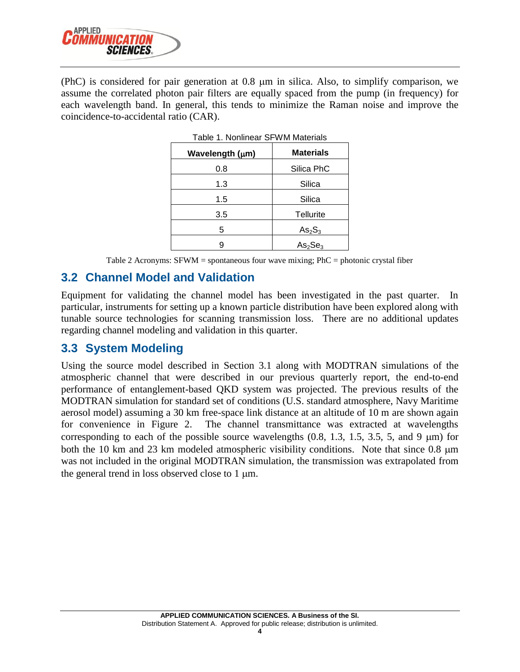

(PhC) is considered for pair generation at  $0.8 \mu m$  in silica. Also, to simplify comparison, we assume the correlated photon pair filters are equally spaced from the pump (in frequency) for each wavelength band. In general, this tends to minimize the Raman noise and improve the coincidence-to-accidental ratio (CAR).

| i ault I. Nuhillittai OL YYNI Malthais |                                 |  |
|----------------------------------------|---------------------------------|--|
| Wavelength (µm)                        | <b>Materials</b>                |  |
| 0.8                                    | Silica PhC                      |  |
| 1.3                                    | Silica                          |  |
| 1.5                                    | Silica                          |  |
| 3.5                                    | Tellurite                       |  |
| 5                                      | As <sub>2</sub> S <sub>3</sub>  |  |
|                                        | As <sub>2</sub> Se <sub>3</sub> |  |

|  | Table 1. Nonlinear SFWM Materials |  |  |
|--|-----------------------------------|--|--|
|--|-----------------------------------|--|--|

Table 2 Acronyms: SFWM = spontaneous four wave mixing; PhC = photonic crystal fiber

#### <span id="page-6-0"></span>**3.2 Channel Model and Validation**

Equipment for validating the channel model has been investigated in the past quarter. In particular, instruments for setting up a known particle distribution have been explored along with tunable source technologies for scanning transmission loss. There are no additional updates regarding channel modeling and validation in this quarter.

#### <span id="page-6-1"></span>**3.3 System Modeling**

Using the source model described in Section [3.1](#page-5-1) along with MODTRAN simulations of the atmospheric channel that were described in our previous quarterly report, the end-to-end performance of entanglement-based QKD system was projected. The previous results of the MODTRAN simulation for standard set of conditions (U.S. standard atmosphere, Navy Maritime aerosol model) assuming a 30 km free-space link distance at an altitude of 10 m are shown again for convenience in [Figure 2.](#page-7-0) The channel transmittance was extracted at wavelengths corresponding to each of the possible source wavelengths  $(0.8, 1.3, 1.5, 3.5, 5,$  and 9  $\mu$ m) for both the 10 km and 23 km modeled atmospheric visibility conditions. Note that since 0.8  $\mu$ m was not included in the original MODTRAN simulation, the transmission was extrapolated from the general trend in loss observed close to  $1 \mu m$ .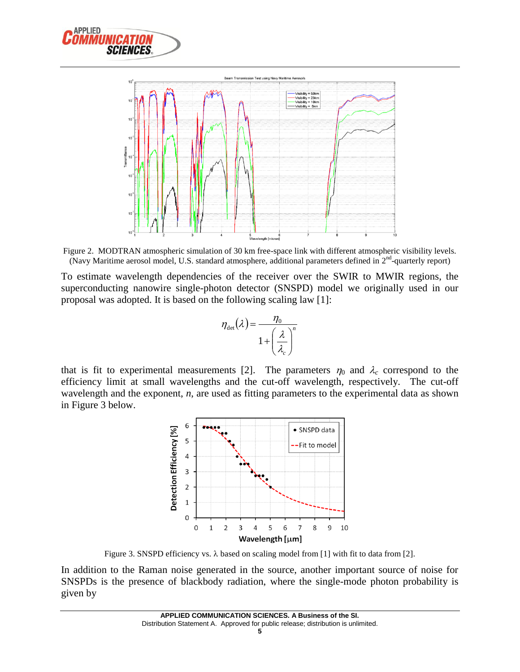



<span id="page-7-0"></span>Figure 2. MODTRAN atmospheric simulation of 30 km free-space link with different atmospheric visibility levels. (Navy Maritime aerosol model, U.S. standard atmosphere, additional parameters defined in  $2^{nd}$ -quarterly report)

To estimate wavelength dependencies of the receiver over the SWIR to MWIR regions, the superconducting nanowire single-photon detector (SNSPD) model we originally used in our proposal was adopted. It is based on the following scaling law [1]:

<span id="page-7-3"></span><span id="page-7-2"></span>
$$
\eta_{\text{det}}(\lambda) = \frac{\eta_0}{1 + \left(\frac{\lambda}{\lambda_c}\right)^n}
$$

that is fit to experimental measurements [2]. The parameters  $\eta_0$  and  $\lambda_c$  correspond to the efficiency limit at small wavelengths and the cut-off wavelength, respectively. The cut-off wavelength and the exponent, *n*, are used as fitting parameters to the experimental data as shown in [Figure 3](#page-7-1) below.



Figure 3. SNSPD efficiency vs.  $\lambda$  based on scaling model from [\[1\]](#page-7-2) with fit to data from [\[2\]](#page-7-3).

<span id="page-7-1"></span>In addition to the Raman noise generated in the source, another important source of noise for SNSPDs is the presence of blackbody radiation, where the single-mode photon probability is given by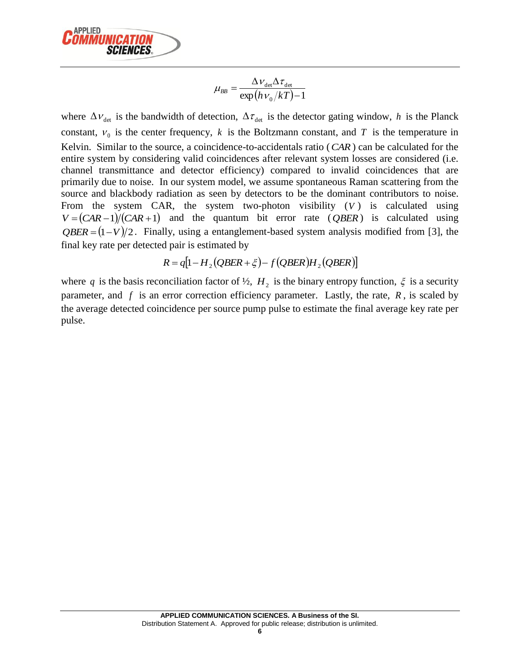

$$
\mu_{BB} = \frac{\Delta v_{\text{det}} \Delta \tau_{\text{det}}}{\exp(h v_0 / kT) - 1}
$$

where  $\Delta v_{\text{det}}$  is the bandwidth of detection,  $\Delta \tau_{\text{det}}$  is the detector gating window, h is the Planck constant,  $V_0$  is the center frequency, k is the Boltzmann constant, and T is the temperature in Kelvin. Similar to the source, a coincidence-to-accidentals ratio ( *CAR* ) can be calculated for the entire system by considering valid coincidences after relevant system losses are considered (i.e. channel transmittance and detector efficiency) compared to invalid coincidences that are primarily due to noise. In our system model, we assume spontaneous Raman scattering from the source and blackbody radiation as seen by detectors to be the dominant contributors to noise. From the system CAR, the system two-photon visibility (V) is calculated using  $V = (CAR - 1)/(CAR + 1)$  and the quantum bit error rate (*QBER*) is calculated using  $QBER = (1 - V)/2$ . Finally, using a entanglement-based system analysis modified from [3], the final key rate per detected pair is estimated by

$$
R = q[1 - H_2(QBER + \xi) - f(QBER)H_2(QBER)]
$$

where q is the basis reconciliation factor of  $\frac{1}{2}$ ,  $H_2$  is the binary entropy function,  $\xi$  is a security parameter, and  $f$  is an error correction efficiency parameter. Lastly, the rate,  $R$ , is scaled by the average detected coincidence per source pump pulse to estimate the final average key rate per pulse.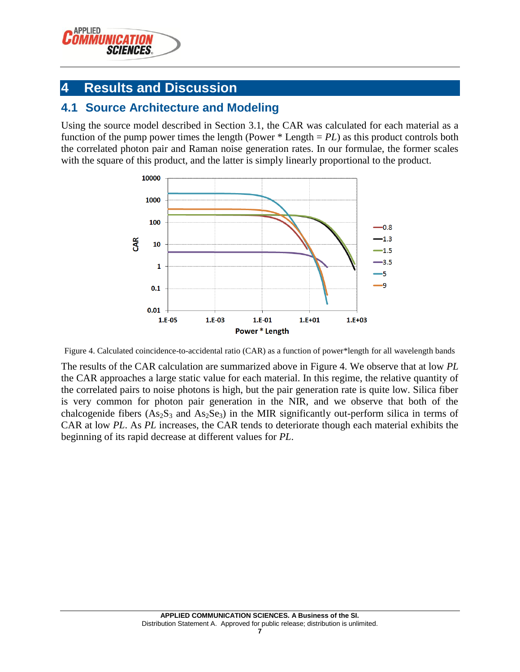

### <span id="page-9-0"></span>**4 Results and Discussion**

#### <span id="page-9-1"></span>**4.1 Source Architecture and Modeling**

Using the source model described in Section [3.1,](#page-5-1) the CAR was calculated for each material as a function of the pump power times the length (Power \* Length = *PL*) as this product controls both the correlated photon pair and Raman noise generation rates. In our formulae, the former scales with the square of this product, and the latter is simply linearly proportional to the product.



<span id="page-9-2"></span>Figure 4. Calculated coincidence-to-accidental ratio (CAR) as a function of power\*length for all wavelength bands

The results of the CAR calculation are summarized above in [Figure 4.](#page-9-2) We observe that at low *PL* the CAR approaches a large static value for each material. In this regime, the relative quantity of the correlated pairs to noise photons is high, but the pair generation rate is quite low. Silica fiber is very common for photon pair generation in the NIR, and we observe that both of the chalcogenide fibers  $(As_2S_3$  and  $As_2Se_3)$  in the MIR significantly out-perform silica in terms of CAR at low *PL*. As *PL* increases, the CAR tends to deteriorate though each material exhibits the beginning of its rapid decrease at different values for *PL*.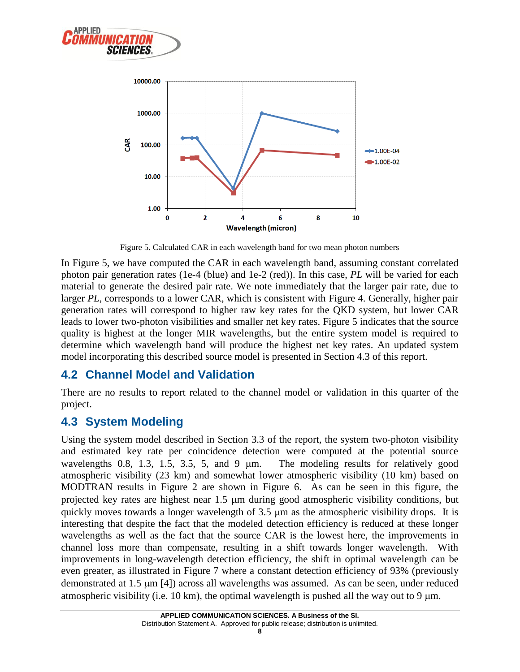



Figure 5. Calculated CAR in each wavelength band for two mean photon numbers

<span id="page-10-2"></span>In [Figure 5,](#page-10-2) we have computed the CAR in each wavelength band, assuming constant correlated photon pair generation rates (1e-4 (blue) and 1e-2 (red)). In this case, *PL* will be varied for each material to generate the desired pair rate. We note immediately that the larger pair rate, due to larger *PL*, corresponds to a lower CAR, which is consistent with [Figure 4.](#page-9-2) Generally, higher pair generation rates will correspond to higher raw key rates for the QKD system, but lower CAR leads to lower two-photon visibilities and smaller net key rates. [Figure 5](#page-10-2) indicates that the source quality is highest at the longer MIR wavelengths, but the entire system model is required to determine which wavelength band will produce the highest net key rates. An updated system model incorporating this described source model is presented in Section [4.3](#page-10-1) of this report.

#### <span id="page-10-0"></span>**4.2 Channel Model and Validation**

There are no results to report related to the channel model or validation in this quarter of the project.

#### <span id="page-10-1"></span>**4.3 System Modeling**

Using the system model described in Section [3.3](#page-6-1) of the report, the system two-photon visibility and estimated key rate per coincidence detection were computed at the potential source wavelengths  $0.8$ ,  $1.3$ ,  $1.5$ ,  $3.5$ ,  $5$ , and  $9 \mu m$ . The modeling results for relatively good atmospheric visibility (23 km) and somewhat lower atmospheric visibility (10 km) based on MODTRAN results in [Figure 2](#page-7-0) are shown in [Figure 6.](#page-11-1) As can be seen in this figure, the projected key rates are highest near 1.5  $\mu$ m during good atmospheric visibility conditions, but quickly moves towards a longer wavelength of  $3.5 \mu m$  as the atmospheric visibility drops. It is interesting that despite the fact that the modeled detection efficiency is reduced at these longer wavelengths as well as the fact that the source CAR is the lowest here, the improvements in channel loss more than compensate, resulting in a shift towards longer wavelength. With improvements in long-wavelength detection efficiency, the shift in optimal wavelength can be even greater, as illustrated in [Figure 7](#page-11-2) where a constant detection efficiency of 93% (previously demonstrated at 1.5  $\mu$ m [4]) across all wavelengths was assumed. As can be seen, under reduced atmospheric visibility (i.e. 10 km), the optimal wavelength is pushed all the way out to 9  $\mu$ m.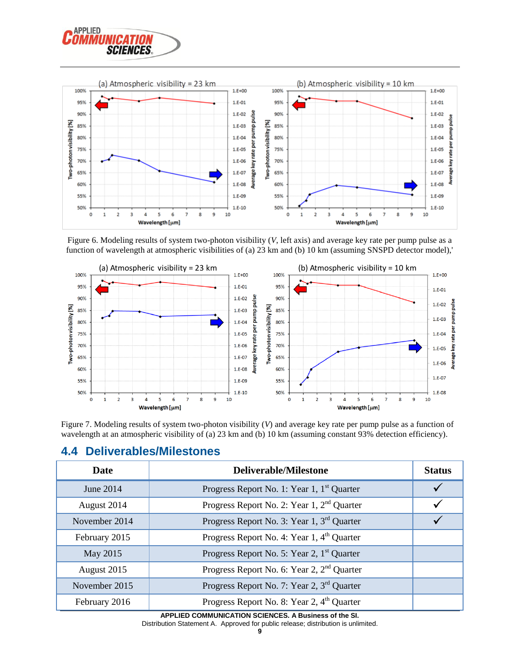



<span id="page-11-1"></span>Figure 6. Modeling results of system two-photon visibility (*V*, left axis) and average key rate per pump pulse as a function of wavelength at atmospheric visibilities of (a) 23 km and (b) 10 km (assuming SNSPD detector model),'



<span id="page-11-2"></span>Figure 7. Modeling results of system two-photon visibility (*V*) and average key rate per pump pulse as a function of wavelength at an atmospheric visibility of (a) 23 km and (b) 10 km (assuming constant 93% detection efficiency).

| Date          | <b>Deliverable/Milestone</b>                           |  |
|---------------|--------------------------------------------------------|--|
| June 2014     | Progress Report No. 1: Year 1, 1 <sup>st</sup> Quarter |  |
| August 2014   | Progress Report No. 2: Year 1, 2 <sup>nd</sup> Quarter |  |
| November 2014 | Progress Report No. 3: Year 1, 3 <sup>rd</sup> Quarter |  |
| February 2015 | Progress Report No. 4: Year 1, 4 <sup>th</sup> Quarter |  |
| May 2015      | Progress Report No. 5: Year 2, 1 <sup>st</sup> Quarter |  |
| August 2015   | Progress Report No. 6: Year 2, 2 <sup>nd</sup> Quarter |  |
| November 2015 | Progress Report No. 7: Year 2, 3 <sup>rd</sup> Quarter |  |
| February 2016 | Progress Report No. 8: Year 2, 4 <sup>th</sup> Quarter |  |

#### <span id="page-11-0"></span>**4.4 Deliverables/Milestones**

**APPLIED COMMUNICATION SCIENCES. A Business of the SI.** Distribution Statement A. Approved for public release; distribution is unlimited.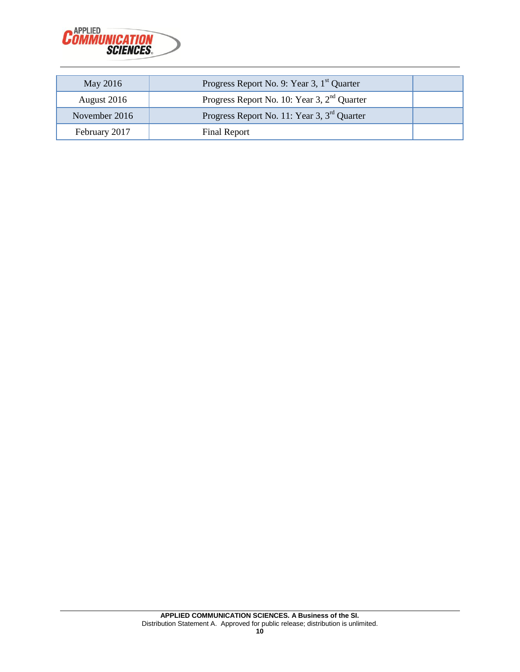

| May 2016      | Progress Report No. 9: Year 3, 1 <sup>st</sup> Quarter  |  |
|---------------|---------------------------------------------------------|--|
| August 2016   | Progress Report No. 10: Year 3, 2 <sup>nd</sup> Quarter |  |
| November 2016 | Progress Report No. 11: Year 3, 3 <sup>rd</sup> Quarter |  |
| February 2017 | Final Report                                            |  |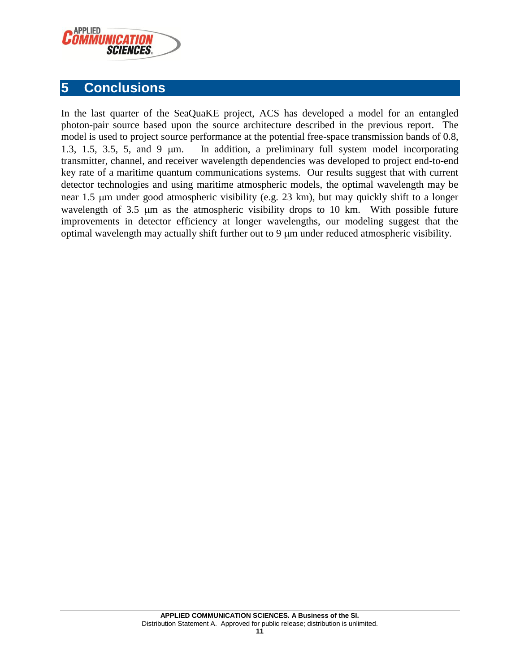

#### <span id="page-13-0"></span>**5 Conclusions**

In the last quarter of the SeaQuaKE project, ACS has developed a model for an entangled photon-pair source based upon the source architecture described in the previous report. The model is used to project source performance at the potential free-space transmission bands of 0.8, 1.3, 1.5, 3.5, 5, and 9  $\mu$ m. In addition, a preliminary full system model incorporating transmitter, channel, and receiver wavelength dependencies was developed to project end-to-end key rate of a maritime quantum communications systems. Our results suggest that with current detector technologies and using maritime atmospheric models, the optimal wavelength may be near 1.5 µm under good atmospheric visibility (e.g. 23 km), but may quickly shift to a longer wavelength of  $3.5 \mu m$  as the atmospheric visibility drops to 10 km. With possible future improvements in detector efficiency at longer wavelengths, our modeling suggest that the optimal wavelength may actually shift further out to  $9 \mu m$  under reduced atmospheric visibility.